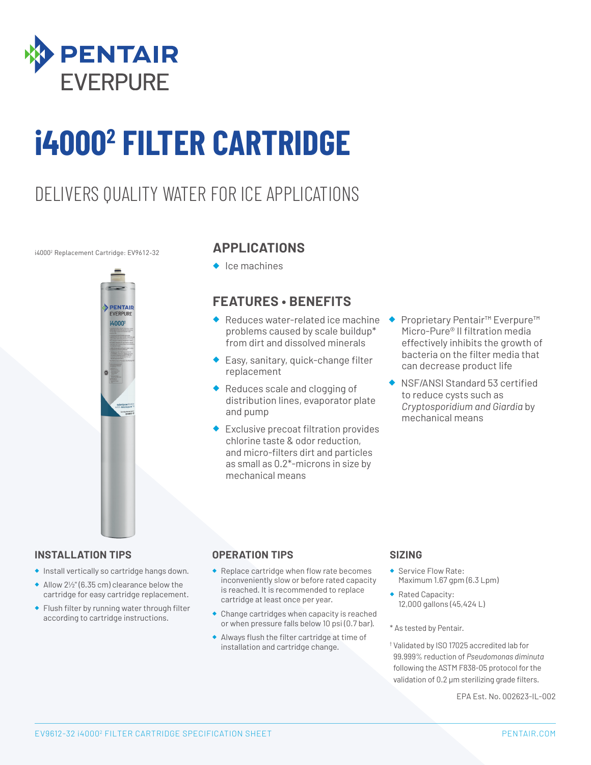

# **i40002 FILTER CARTRIDGE**

### DELIVERS QUALITY WATER FOR ICE APPLICATIONS

#### i40002 Replacement Cartridge: EV9612-32



#### **APPLICATIONS**

◆ Ice machines

#### **FEATURES • BENEFITS**

- ◆ Reduces water-related ice machine problems caused by scale buildup\* from dirt and dissolved minerals
- ◆ Easy, sanitary, quick-change filter replacement
- ◆ Reduces scale and clogging of distribution lines, evaporator plate and pump
- ◆ Exclusive precoat filtration provides chlorine taste & odor reduction, and micro-filters dirt and particles as small as 0.2\*-microns in size by mechanical means
- ◆ Proprietary Pentair<sup>™</sup> Everpure<sup>™</sup> Micro-Pure® II filtration media effectively inhibits the growth of bacteria on the filter media that can decrease product life
- ◆ NSF/ANSI Standard 53 certified to reduce cysts such as *Cryptosporidium and Giardia* by mechanical means

#### **INSTALLATION TIPS**

- ◆ Install vertically so cartridge hangs down.
- ◆ Allow 2½" (6.35 cm) clearance below the cartridge for easy cartridge replacement.
- ◆ Flush filter by running water through filter according to cartridge instructions.

#### **OPERATION TIPS**

- ◆ Replace cartridge when flow rate becomes inconveniently slow or before rated capacity is reached. It is recommended to replace cartridge at least once per year.
- ◆ Change cartridges when capacity is reached or when pressure falls below 10 psi (0.7 bar).
- ◆ Always flush the filter cartridge at time of installation and cartridge change.

#### **SIZING**

- ◆ Service Flow Rate: Maximum 1.67 gpm (6.3 Lpm)
- ◆ Rated Capacity: 12,000 gallons (45,424 L)
- \* As tested by Pentair.
- † Validated by ISO 17025 accredited lab for 99.999% reduction of *Pseudomonas diminuta* following the ASTM F838-05 protocol for the validation of 0.2 μm sterilizing grade filters.

EPA Est. No. 002623-IL-002